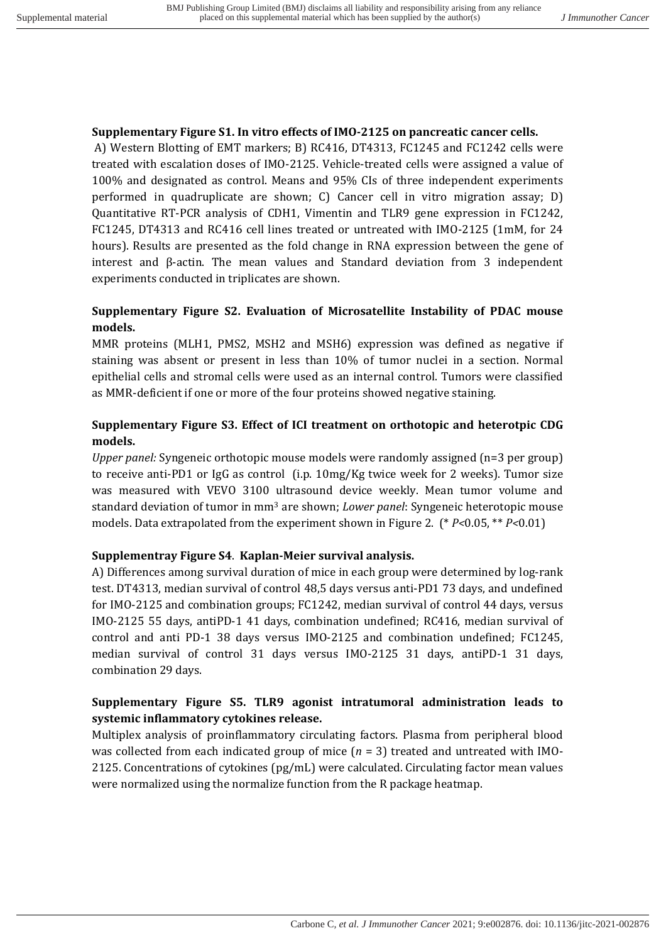#### **Supplementary Figure S1. In vitro effects of IMO-2125 on pancreatic cancer cells.**

A) Western Blotting of EMT markers; B) RC416, DT4313, FC1245 and FC1242 cells were treated with escalation doses of IMO-2125. Vehicle-treated cells were assigned a value of 100% and designated as control. Means and 95% CIs of three independent experiments performed in quadruplicate are shown; C) Cancer cell in vitro migration assay; D) Quantitative RT-PCR analysis of CDH1, Vimentin and TLR9 gene expression in FC1242, FC1245, DT4313 and RC416 cell lines treated or untreated with IMO-2125 (1mM, for 24 hours). Results are presented as the fold change in RNA expression between the gene of interest and  $\beta$ -actin. The mean values and Standard deviation from 3 independent experiments conducted in triplicates are shown.

# **Supplementary Figure S2. Evaluation of Microsatellite Instability of PDAC mouse models.**

MMR proteins (MLH1, PMS2, MSH2 and MSH6) expression was defined as negative if staining was absent or present in less than 10% of tumor nuclei in a section. Normal epithelial cells and stromal cells were used as an internal control. Tumors were classified as MMR-deficient if one or more of the four proteins showed negative staining.

# **Supplementary Figure S3. Effect of ICI treatment on orthotopic and heterotpic CDG models.**

*Upper panel:* Syngeneic orthotopic mouse models were randomly assigned (n=3 per group) to receive anti-PD1 or  $I_{\text{gG}}$  as control (i.p. 10mg/Kg twice week for 2 weeks). Tumor size was measured with VEVO 3100 ultrasound device weekly. Mean tumor volume and standard deviation of tumor in mm<sup>3</sup> are shown; *Lower panel*: Syngeneic heterotopic mouse models. Data extrapolated from the experiment shown in Figure 2. (\* *P*<0.05, \*\* *P*<0.01)

### **Supplementray Figure S4**. **Kaplan-Meier survival analysis.**

A) Differences among survival duration of mice in each group were determined by log-rank test. DT4313, median survival of control 48,5 days versus anti-PD1 73 days, and undefined for IMO-2125 and combination groups; FC1242, median survival of control 44 days, versus IMO-2125 55 days, antiPD-1 41 days, combination undefined; RC416, median survival of control and anti PD-1 38 days versus IMO-2125 and combination undefined; FC1245, median survival of control 31 days versus IMO-2125 31 days, antiPD-1 31 days, combination 29 days.

# **Supplementary Figure S5. TLR9 agonist intratumoral administration leads to** systemic inflammatory cytokines release.

Multiplex analysis of proinflammatory circulating factors. Plasma from peripheral blood was collected from each indicated group of mice  $(n = 3)$  treated and untreated with IMO-2125. Concentrations of cytokines  $\frac{\log_{10}}{\log_{10}}$  were calculated. Circulating factor mean values were normalized using the normalize function from the R package heatmap.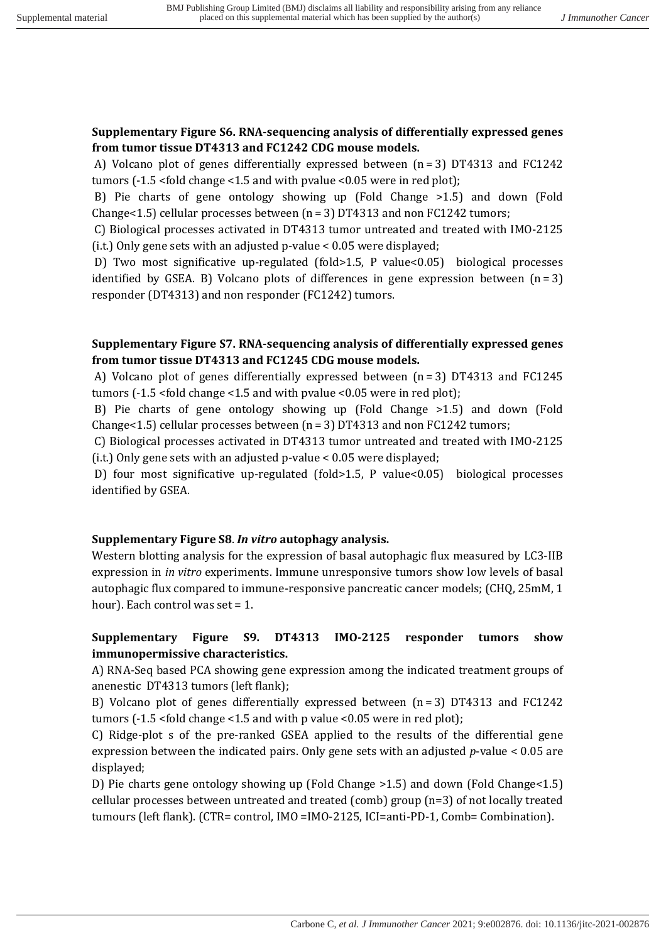### **Supplementary Figure S6. RNA-sequencing analysis of differentially expressed genes** from tumor tissue DT4313 and FC1242 CDG mouse models.

A) Volcano plot of genes differentially expressed between  $(n=3)$  DT4313 and FC1242 tumors  $(-1.5 \times 6)$ d change  $\le 1.5$  and with pvalue  $\le 0.05$  were in red plot);

B) Pie charts of gene ontology showing up (Fold Change  $>1.5$ ) and down (Fold Change<1.5) cellular processes between  $(n = 3)$  DT4313 and non FC1242 tumors;

C) Biological processes activated in DT4313 tumor untreated and treated with IMO-2125 (i.t.) Only gene sets with an adjusted  $p$ -value < 0.05 were displayed;

D) Two most significative up-regulated (fold>1.5, P value<0.05) biological processes identified by GSEA. B) Volcano plots of differences in gene expression between  $(n=3)$ responder (DT4313) and non responder (FC1242) tumors.

## **Supplementary Figure S7. RNA-sequencing analysis of differentially expressed genes** from tumor tissue DT4313 and FC1245 CDG mouse models.

A) Volcano plot of genes differentially expressed between  $(n=3)$  DT4313 and FC1245 tumors  $(-1.5 \times 10^{14} \text{ change} \times 1.5 \text{ and with pvalue} \times 0.05 \text{ were in red plot})$ ;

B) Pie charts of gene ontology showing up (Fold Change >1.5) and down (Fold Change<1.5) cellular processes between  $(n = 3)$  DT4313 and non FC1242 tumors;

C) Biological processes activated in DT4313 tumor untreated and treated with IMO-2125 (i.t.) Only gene sets with an adjusted  $p$ -value < 0.05 were displayed;

D) four most significative up-regulated (fold>1.5, P value<0.05) biological processes identified by GSEA.

### **Supplementary Figure S8**. *In vitro* **autophagy analysis.**

Western blotting analysis for the expression of basal autophagic flux measured by LC3-IIB expression in *in vitro* experiments. Immune unresponsive tumors show low levels of basal autophagic flux compared to immune-responsive pancreatic cancer models; (CHQ, 25mM, 1) hour). Each control was set  $= 1$ .

## **Supplementary Figure S9. DT4313 IMO-2125 responder tumors show immunopermissive characteristics.**

A) RNA-Seq based PCA showing gene expression among the indicated treatment groups of anenestic DT4313 tumors (left flank);

B) Volcano plot of genes differentially expressed between  $(n=3)$  DT4313 and FC1242 tumors  $(-1.5 \times 6)$ d change  $\le 1.5$  and with p value  $\le 0.05$  were in red plot);

C) Ridge-plot s of the pre-ranked GSEA applied to the results of the differential gene expression between the indicated pairs. Only gene sets with an adjusted  $p$ -value <  $0.05$  are displayed;

D) Pie charts gene ontology showing up (Fold Change  $>1.5$ ) and down (Fold Change $<1.5$ ) cellular processes between untreated and treated  $(comb)$  group  $(n=3)$  of not locally treated tumours (left flank). (CTR= control, IMO =IMO-2125, ICI=anti-PD-1, Comb= Combination).